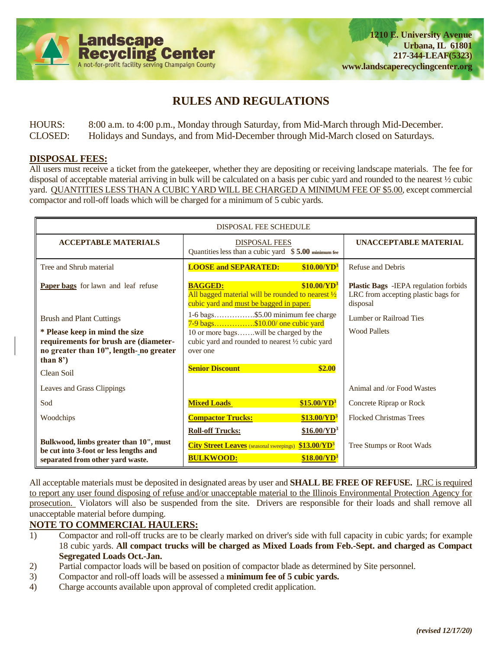

# **RULES AND REGULATIONS**

HOURS: 8:00 a.m. to 4:00 p.m., Monday through Saturday, from Mid-March through Mid-December. CLOSED: Holidays and Sundays, and from Mid-December through Mid-March closed on Saturdays.

#### **DISPOSAL FEES:**

All users must receive a ticket from the gatekeeper, whether they are depositing or receiving landscape materials. The fee for disposal of acceptable material arriving in bulk will be calculated on a basis per cubic yard and rounded to the nearest ½ cubic yard. QUANTITIES LESS THAN A CUBIC YARD WILL BE CHARGED A MINIMUM FEE OF \$5.00, except commercial compactor and roll-off loads which will be charged for a minimum of 5 cubic yards.

| <b>DISPOSAL FEE SCHEDULE</b>                                                                                                     |                                                                                                                                                                      |                                                                                                  |  |
|----------------------------------------------------------------------------------------------------------------------------------|----------------------------------------------------------------------------------------------------------------------------------------------------------------------|--------------------------------------------------------------------------------------------------|--|
| <b>ACCEPTABLE MATERIALS</b>                                                                                                      | <b>DISPOSAL FEES</b><br>Quantities less than a cubic yard \$5.00 minimum fee                                                                                         | UNACCEPTABLE MATERIAL                                                                            |  |
| Tree and Shrub material                                                                                                          | <b>LOOSE and SEPARATED:</b><br>\$10.00/YD <sup>3</sup>                                                                                                               | Refuse and Debris                                                                                |  |
| Paper bags for lawn and leaf refuse                                                                                              | \$10.00/YD <sup>3</sup><br><b>BAGGED:</b><br>All bagged material will be rounded to nearest $\frac{1}{2}$<br>cubic yard and must be bagged in paper.                 | <b>Plastic Bags</b> - IEPA regulation forbids<br>LRC from accepting plastic bags for<br>disposal |  |
| <b>Brush and Plant Cuttings</b>                                                                                                  | 1-6 bags\$5.00 minimum fee charge<br>7-9 bags\$10.00/ one cubic yard                                                                                                 | Lumber or Railroad Ties                                                                          |  |
| * Please keep in mind the size<br>requirements for brush are (diameter-<br>no greater than 10", length-no greater<br>than $8'$ ) | 10 or more bagswill be charged by the<br>cubic yard and rounded to nearest 1/2 cubic yard<br>over one                                                                | <b>Wood Pallets</b>                                                                              |  |
| Clean Soil                                                                                                                       | <b>Senior Discount</b><br>\$2.00                                                                                                                                     |                                                                                                  |  |
| Leaves and Grass Clippings                                                                                                       |                                                                                                                                                                      | Animal and /or Food Wastes                                                                       |  |
| Sod                                                                                                                              | <b>Mixed Loads</b><br>\$15.00/VD <sup>3</sup>                                                                                                                        | Concrete Riprap or Rock                                                                          |  |
| Woodchips                                                                                                                        | \$13.00/VD <sup>3</sup><br><b>Compactor Trucks:</b>                                                                                                                  | <b>Flocked Christmas Trees</b>                                                                   |  |
| Bulkwood, limbs greater than 10", must<br>be cut into 3-foot or less lengths and<br>separated from other yard waste.             | $$16.00/YD^3$<br><b>Roll-off Trucks:</b><br><b>City Street Leaves</b> (seasonal sweepings)<br>\$13.00/VD <sup>3</sup><br><b>BULKWOOD:</b><br>\$18.00/YD <sup>3</sup> | Tree Stumps or Root Wads                                                                         |  |

All acceptable materials must be deposited in designated areas by user and **SHALL BE FREE OF REFUSE.** LRC is required to report any user found disposing of refuse and/or unacceptable material to the Illinois Environmental Protection Agency for prosecution. Violators will also be suspended from the site. Drivers are responsible for their loads and shall remove all unacceptable material before dumping.

#### **NOTE TO COMMERCIAL HAULERS:**

- 1) Compactor and roll-off trucks are to be clearly marked on driver's side with full capacity in cubic yards; for example 18 cubic yards. **All compact trucks will be charged as Mixed Loads from Feb.-Sept. and charged as Compact Segregated Loads Oct.-Jan.**
- 2) Partial compactor loads will be based on position of compactor blade as determined by Site personnel.
- 3) Compactor and roll-off loads will be assessed a **minimum fee of 5 cubic yards.**
- 4) Charge accounts available upon approval of completed credit application.